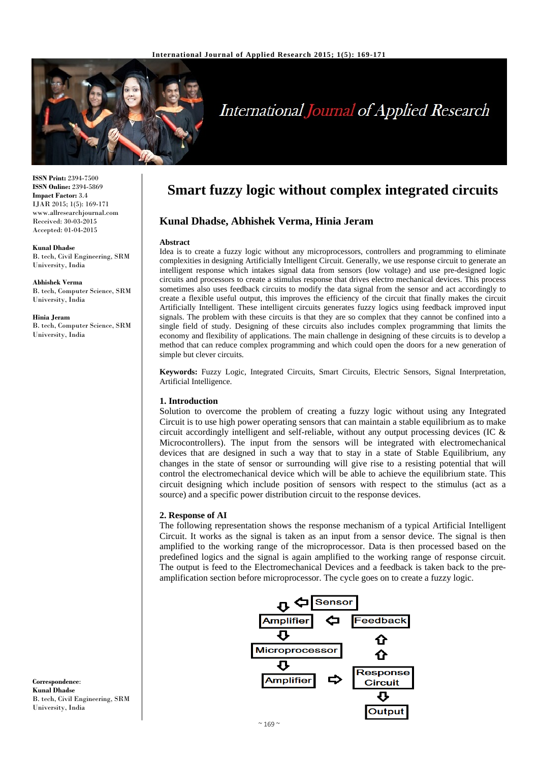

# International Journal of Applied Research

**ISSN Print:** 2394-7500 **ISSN Online:** 2394-5869 **Impact Factor:** 3.4 IJAR 2015; 1(5): 169-171 www.allresearchjournal.com Received: 30-03-2015 Accepted: 01-04-2015

#### **Kunal Dhadse**

B. tech, Civil Engineering, SRM University, India

**Abhishek Verma**  B. tech, Computer Science, SRM University, India

#### **Hinia Jeram**

B. tech, Computer Science, SRM University, India

# **Smart fuzzy logic without complex integrated circuits**

## **Kunal Dhadse, Abhishek Verma, Hinia Jeram**

#### **Abstract**

Idea is to create a fuzzy logic without any microprocessors, controllers and programming to eliminate complexities in designing Artificially Intelligent Circuit. Generally, we use response circuit to generate an intelligent response which intakes signal data from sensors (low voltage) and use pre-designed logic circuits and processors to create a stimulus response that drives electro mechanical devices. This process sometimes also uses feedback circuits to modify the data signal from the sensor and act accordingly to create a flexible useful output, this improves the efficiency of the circuit that finally makes the circuit Artificially Intelligent. These intelligent circuits generates fuzzy logics using feedback improved input signals. The problem with these circuits is that they are so complex that they cannot be confined into a single field of study. Designing of these circuits also includes complex programming that limits the economy and flexibility of applications. The main challenge in designing of these circuits is to develop a method that can reduce complex programming and which could open the doors for a new generation of simple but clever circuits.

**Keywords:** Fuzzy Logic, Integrated Circuits, Smart Circuits, Electric Sensors, Signal Interpretation, Artificial Intelligence.

#### **1. Introduction**

Solution to overcome the problem of creating a fuzzy logic without using any Integrated Circuit is to use high power operating sensors that can maintain a stable equilibrium as to make circuit accordingly intelligent and self-reliable, without any output processing devices (IC & Microcontrollers). The input from the sensors will be integrated with electromechanical devices that are designed in such a way that to stay in a state of Stable Equilibrium, any changes in the state of sensor or surrounding will give rise to a resisting potential that will control the electromechanical device which will be able to achieve the equilibrium state. This circuit designing which include position of sensors with respect to the stimulus (act as a source) and a specific power distribution circuit to the response devices.

#### **2. Response of AI**

The following representation shows the response mechanism of a typical Artificial Intelligent Circuit. It works as the signal is taken as an input from a sensor device. The signal is then amplified to the working range of the microprocessor. Data is then processed based on the predefined logics and the signal is again amplified to the working range of response circuit. The output is feed to the Electromechanical Devices and a feedback is taken back to the preamplification section before microprocessor. The cycle goes on to create a fuzzy logic.



**Correspondence**: **Kunal Dhadse**  B. tech, Civil Engineering, SRM University, India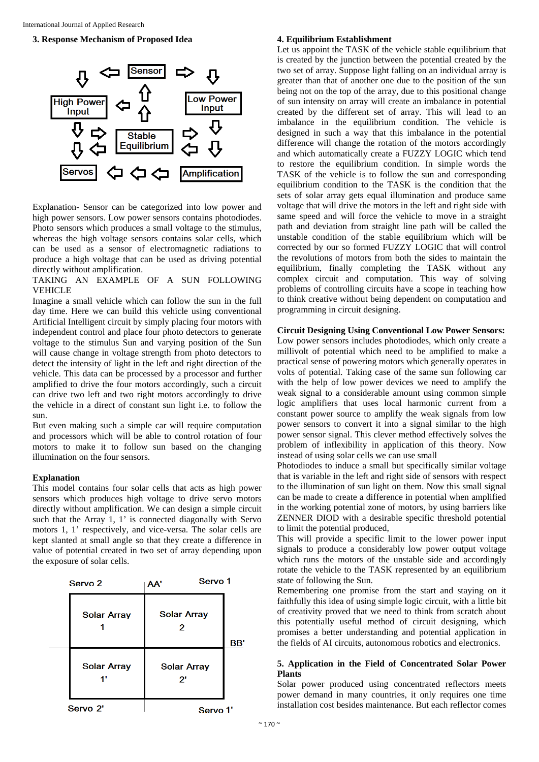#### **3. Response Mechanism of Proposed Idea**



Explanation- Sensor can be categorized into low power and high power sensors. Low power sensors contains photodiodes. Photo sensors which produces a small voltage to the stimulus, whereas the high voltage sensors contains solar cells, which can be used as a sensor of electromagnetic radiations to produce a high voltage that can be used as driving potential directly without amplification.

#### TAKING AN EXAMPLE OF A SUN FOLLOWING VEHICLE

Imagine a small vehicle which can follow the sun in the full day time. Here we can build this vehicle using conventional Artificial Intelligent circuit by simply placing four motors with independent control and place four photo detectors to generate voltage to the stimulus Sun and varying position of the Sun will cause change in voltage strength from photo detectors to detect the intensity of light in the left and right direction of the vehicle. This data can be processed by a processor and further amplified to drive the four motors accordingly, such a circuit can drive two left and two right motors accordingly to drive the vehicle in a direct of constant sun light i.e. to follow the sun.

But even making such a simple car will require computation and processors which will be able to control rotation of four motors to make it to follow sun based on the changing illumination on the four sensors.

#### **Explanation**

This model contains four solar cells that acts as high power sensors which produces high voltage to drive servo motors directly without amplification. We can design a simple circuit such that the Array 1, 1' is connected diagonally with Servo motors 1, 1' respectively, and vice-versa. The solar cells are kept slanted at small angle so that they create a difference in value of potential created in two set of array depending upon the exposure of solar cells.

| Servo <sub>2</sub>  |                    | AA'                     | Servo 1            |     |
|---------------------|--------------------|-------------------------|--------------------|-----|
|                     | <b>Solar Array</b> | <b>Solar Array</b><br>2 |                    | BB' |
|                     | <b>Solar Array</b> | 2'                      | <b>Solar Array</b> |     |
| Servo <sub>2'</sub> |                    | Servo 1'                |                    |     |

#### **4. Equilibrium Establishment**

Let us appoint the TASK of the vehicle stable equilibrium that is created by the junction between the potential created by the two set of array. Suppose light falling on an individual array is greater than that of another one due to the position of the sun being not on the top of the array, due to this positional change of sun intensity on array will create an imbalance in potential created by the different set of array. This will lead to an imbalance in the equilibrium condition. The vehicle is designed in such a way that this imbalance in the potential difference will change the rotation of the motors accordingly and which automatically create a FUZZY LOGIC which tend to restore the equilibrium condition. In simple words the TASK of the vehicle is to follow the sun and corresponding equilibrium condition to the TASK is the condition that the sets of solar array gets equal illumination and produce same voltage that will drive the motors in the left and right side with same speed and will force the vehicle to move in a straight path and deviation from straight line path will be called the unstable condition of the stable equilibrium which will be corrected by our so formed FUZZY LOGIC that will control the revolutions of motors from both the sides to maintain the equilibrium, finally completing the TASK without any complex circuit and computation. This way of solving problems of controlling circuits have a scope in teaching how to think creative without being dependent on computation and programming in circuit designing.

#### **Circuit Designing Using Conventional Low Power Sensors:**

Low power sensors includes photodiodes, which only create a millivolt of potential which need to be amplified to make a practical sense of powering motors which generally operates in volts of potential. Taking case of the same sun following car with the help of low power devices we need to amplify the weak signal to a considerable amount using common simple logic amplifiers that uses local harmonic current from a constant power source to amplify the weak signals from low power sensors to convert it into a signal similar to the high power sensor signal. This clever method effectively solves the problem of inflexibility in application of this theory. Now instead of using solar cells we can use small

Photodiodes to induce a small but specifically similar voltage that is variable in the left and right side of sensors with respect to the illumination of sun light on them. Now this small signal can be made to create a difference in potential when amplified in the working potential zone of motors, by using barriers like ZENNER DIOD with a desirable specific threshold potential to limit the potential produced,

This will provide a specific limit to the lower power input signals to produce a considerably low power output voltage which runs the motors of the unstable side and accordingly rotate the vehicle to the TASK represented by an equilibrium state of following the Sun.

Remembering one promise from the start and staying on it faithfully this idea of using simple logic circuit, with a little bit of creativity proved that we need to think from scratch about this potentially useful method of circuit designing, which promises a better understanding and potential application in the fields of AI circuits, autonomous robotics and electronics.

### **5. Application in the Field of Concentrated Solar Power Plants**

Solar power produced using concentrated reflectors meets power demand in many countries, it only requires one time installation cost besides maintenance. But each reflector comes